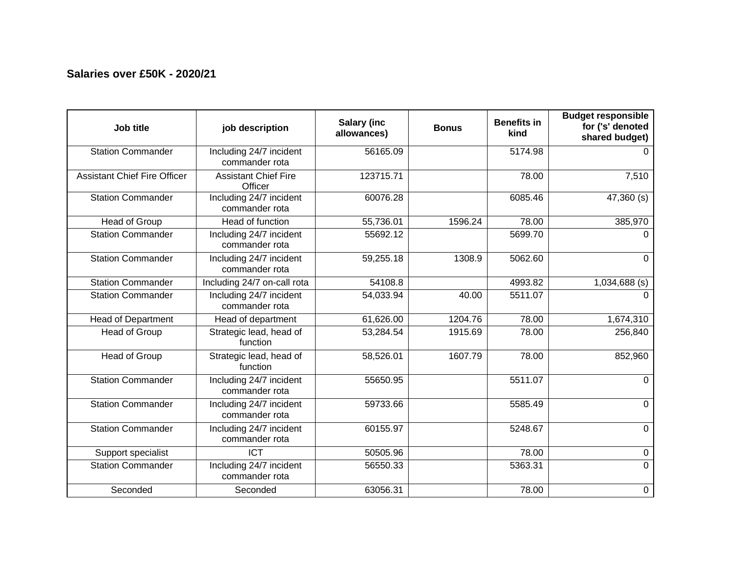## **Salaries over £50K - 2020/21**

| Job title                           | job description                           | Salary (inc<br>allowances) | <b>Bonus</b> | <b>Benefits in</b><br>kind | <b>Budget responsible</b><br>for ('s' denoted<br>shared budget) |
|-------------------------------------|-------------------------------------------|----------------------------|--------------|----------------------------|-----------------------------------------------------------------|
| <b>Station Commander</b>            | Including 24/7 incident<br>commander rota | 56165.09                   |              | 5174.98                    | $\Omega$                                                        |
| <b>Assistant Chief Fire Officer</b> | <b>Assistant Chief Fire</b><br>Officer    | 123715.71                  |              | 78.00                      | 7,510                                                           |
| <b>Station Commander</b>            | Including 24/7 incident<br>commander rota | 60076.28                   |              | 6085.46                    | 47,360 (s)                                                      |
| Head of Group                       | Head of function                          | 55,736.01                  | 1596.24      | 78.00                      | 385,970                                                         |
| <b>Station Commander</b>            | Including 24/7 incident<br>commander rota | 55692.12                   |              | 5699.70                    | $\Omega$                                                        |
| <b>Station Commander</b>            | Including 24/7 incident<br>commander rota | 59,255.18                  | 1308.9       | 5062.60                    | $\mathbf{0}$                                                    |
| <b>Station Commander</b>            | Including 24/7 on-call rota               | 54108.8                    |              | 4993.82                    | $1,034,688$ (s)                                                 |
| <b>Station Commander</b>            | Including 24/7 incident<br>commander rota | 54,033.94                  | 40.00        | 5511.07                    | $\Omega$                                                        |
| <b>Head of Department</b>           | Head of department                        | 61,626.00                  | 1204.76      | 78.00                      | 1,674,310                                                       |
| Head of Group                       | Strategic lead, head of<br>function       | 53,284.54                  | 1915.69      | 78.00                      | 256,840                                                         |
| <b>Head of Group</b>                | Strategic lead, head of<br>function       | 58,526.01                  | 1607.79      | 78.00                      | 852,960                                                         |
| <b>Station Commander</b>            | Including 24/7 incident<br>commander rota | 55650.95                   |              | 5511.07                    | $\Omega$                                                        |
| <b>Station Commander</b>            | Including 24/7 incident<br>commander rota | 59733.66                   |              | 5585.49                    | $\mathbf 0$                                                     |
| <b>Station Commander</b>            | Including 24/7 incident<br>commander rota | 60155.97                   |              | 5248.67                    | $\mathbf{0}$                                                    |
| Support specialist                  | <b>ICT</b>                                | 50505.96                   |              | 78.00                      | 0                                                               |
| <b>Station Commander</b>            | Including 24/7 incident<br>commander rota | 56550.33                   |              | 5363.31                    | $\Omega$                                                        |
| Seconded                            | Seconded                                  | 63056.31                   |              | 78.00                      | 0                                                               |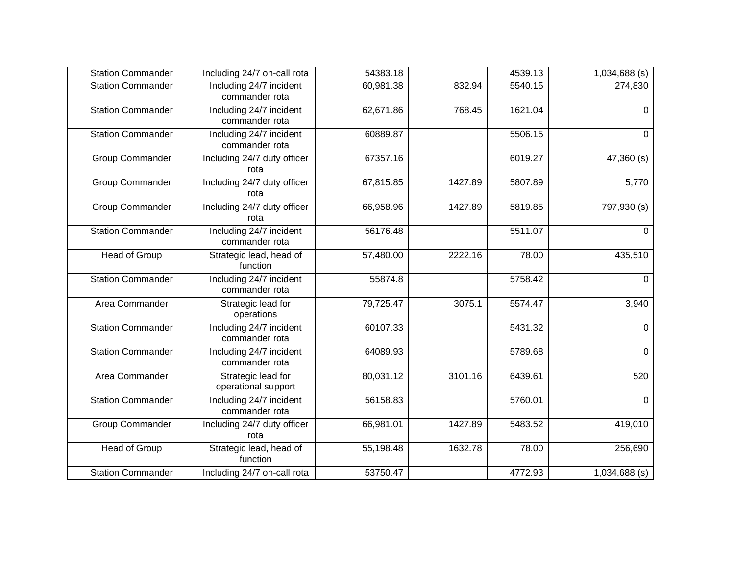| <b>Station Commander</b> | Including 24/7 on-call rota               | 54383.18  |         | 4539.13 | 1,034,688 (s)          |
|--------------------------|-------------------------------------------|-----------|---------|---------|------------------------|
| <b>Station Commander</b> | Including 24/7 incident<br>commander rota | 60,981.38 | 832.94  | 5540.15 | 274,830                |
| Station Commander        | Including 24/7 incident<br>commander rota | 62,671.86 | 768.45  | 1621.04 | $\Omega$               |
| <b>Station Commander</b> | Including 24/7 incident<br>commander rota | 60889.87  |         | 5506.15 | $\mathbf 0$            |
| Group Commander          | Including 24/7 duty officer<br>rota       | 67357.16  |         | 6019.27 | 47,360 (s)             |
| <b>Group Commander</b>   | Including 24/7 duty officer<br>rota       | 67,815.85 | 1427.89 | 5807.89 | 5,770                  |
| Group Commander          | Including 24/7 duty officer<br>rota       | 66,958.96 | 1427.89 | 5819.85 | 797,930 (s)            |
| <b>Station Commander</b> | Including 24/7 incident<br>commander rota | 56176.48  |         | 5511.07 | 0                      |
| Head of Group            | Strategic lead, head of<br>function       | 57,480.00 | 2222.16 | 78.00   | 435,510                |
| <b>Station Commander</b> | Including 24/7 incident<br>commander rota | 55874.8   |         | 5758.42 | $\mathbf 0$            |
| Area Commander           | Strategic lead for<br>operations          | 79,725.47 | 3075.1  | 5574.47 | 3,940                  |
| <b>Station Commander</b> | Including 24/7 incident<br>commander rota | 60107.33  |         | 5431.32 | $\overline{0}$         |
| Station Commander        | Including 24/7 incident<br>commander rota | 64089.93  |         | 5789.68 | $\overline{0}$         |
| Area Commander           | Strategic lead for<br>operational support | 80,031.12 | 3101.16 | 6439.61 | 520                    |
| <b>Station Commander</b> | Including 24/7 incident<br>commander rota | 56158.83  |         | 5760.01 | $\overline{0}$         |
| Group Commander          | Including 24/7 duty officer<br>rota       | 66,981.01 | 1427.89 | 5483.52 | 419,010                |
| Head of Group            | Strategic lead, head of<br>function       | 55,198.48 | 1632.78 | 78.00   | 256,690                |
| <b>Station Commander</b> | Including 24/7 on-call rota               | 53750.47  |         | 4772.93 | $\sqrt{1,034,688}$ (s) |